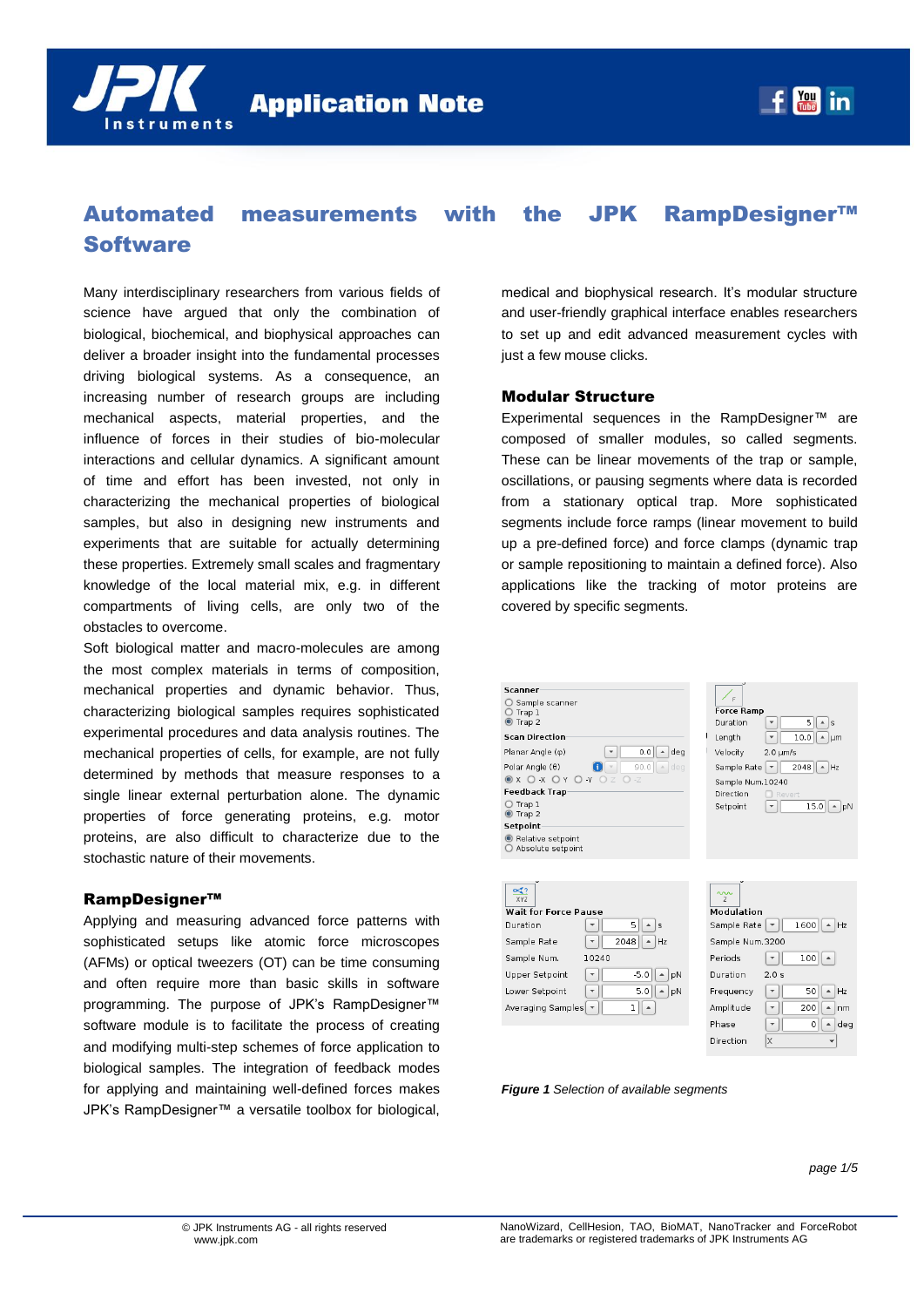

# Automated measurements with the JPK RampDesigner™ **Software**

Many interdisciplinary researchers from various fields of science have argued that only the combination of biological, biochemical, and biophysical approaches can deliver a broader insight into the fundamental processes driving biological systems. As a consequence, an increasing number of research groups are including mechanical aspects, material properties, and the influence of forces in their studies of bio-molecular interactions and cellular dynamics. A significant amount of time and effort has been invested, not only in characterizing the mechanical properties of biological samples, but also in designing new instruments and experiments that are suitable for actually determining these properties. Extremely small scales and fragmentary knowledge of the local material mix, e.g. in different compartments of living cells, are only two of the obstacles to overcome.

Soft biological matter and macro-molecules are among the most complex materials in terms of composition, mechanical properties and dynamic behavior. Thus, characterizing biological samples requires sophisticated experimental procedures and data analysis routines. The mechanical properties of cells, for example, are not fully determined by methods that measure responses to a single linear external perturbation alone. The dynamic properties of force generating proteins, e.g. motor proteins, are also difficult to characterize due to the stochastic nature of their movements.

### RampDesigner™

Applying and measuring advanced force patterns with sophisticated setups like atomic force microscopes (AFMs) or optical tweezers (OT) can be time consuming and often require more than basic skills in software programming. The purpose of JPK's RampDesigner™ software module is to facilitate the process of creating and modifying multi-step schemes of force application to biological samples. The integration of feedback modes for applying and maintaining well-defined forces makes JPK's RampDesigner™ a versatile toolbox for biological,

medical and biophysical research. It's modular structure and user-friendly graphical interface enables researchers to set up and edit advanced measurement cycles with just a few mouse clicks.

### Modular Structure

Experimental sequences in the RampDesigner™ are composed of smaller modules, so called segments. These can be linear movements of the trap or sample, oscillations, or pausing segments where data is recorded from a stationary optical trap. More sophisticated segments include force ramps (linear movement to build up a pre-defined force) and force clamps (dynamic trap or sample repositioning to maintain a defined force). Also applications like the tracking of motor proteins are covered by specific segments.





| XY7<br><b>Wait for Force Pause</b> |       |                   |
|------------------------------------|-------|-------------------|
| Duration                           |       | 5<br>s            |
| Sample Rate                        |       | 2048<br><b>Hz</b> |
| Sample Num.                        | 10240 |                   |
| Upper Setpoint                     |       | $-5.0$<br>pΝ      |
| Lower Setpoint                     |       | 5.0<br>pN         |
| Averaging Samples                  |       | 1                 |

| $\overline{z}$  |                  |      |                        |  |
|-----------------|------------------|------|------------------------|--|
| Modulation      |                  |      |                        |  |
| Sample Rate     |                  | 1600 | $\left  \right $<br>Hz |  |
| Sample Num.3200 |                  |      |                        |  |
| Periods         |                  | 100  |                        |  |
| Duration        | 2.0 <sub>s</sub> |      |                        |  |
| Frequency       |                  | 50   | HZ                     |  |
| Amplitude       |                  | 200  | nm                     |  |
| Phase           |                  | 0    | deg                    |  |
| Direction       | X                |      |                        |  |
|                 |                  |      |                        |  |

*Figure 1 Selection of available segments*

*page 1/5*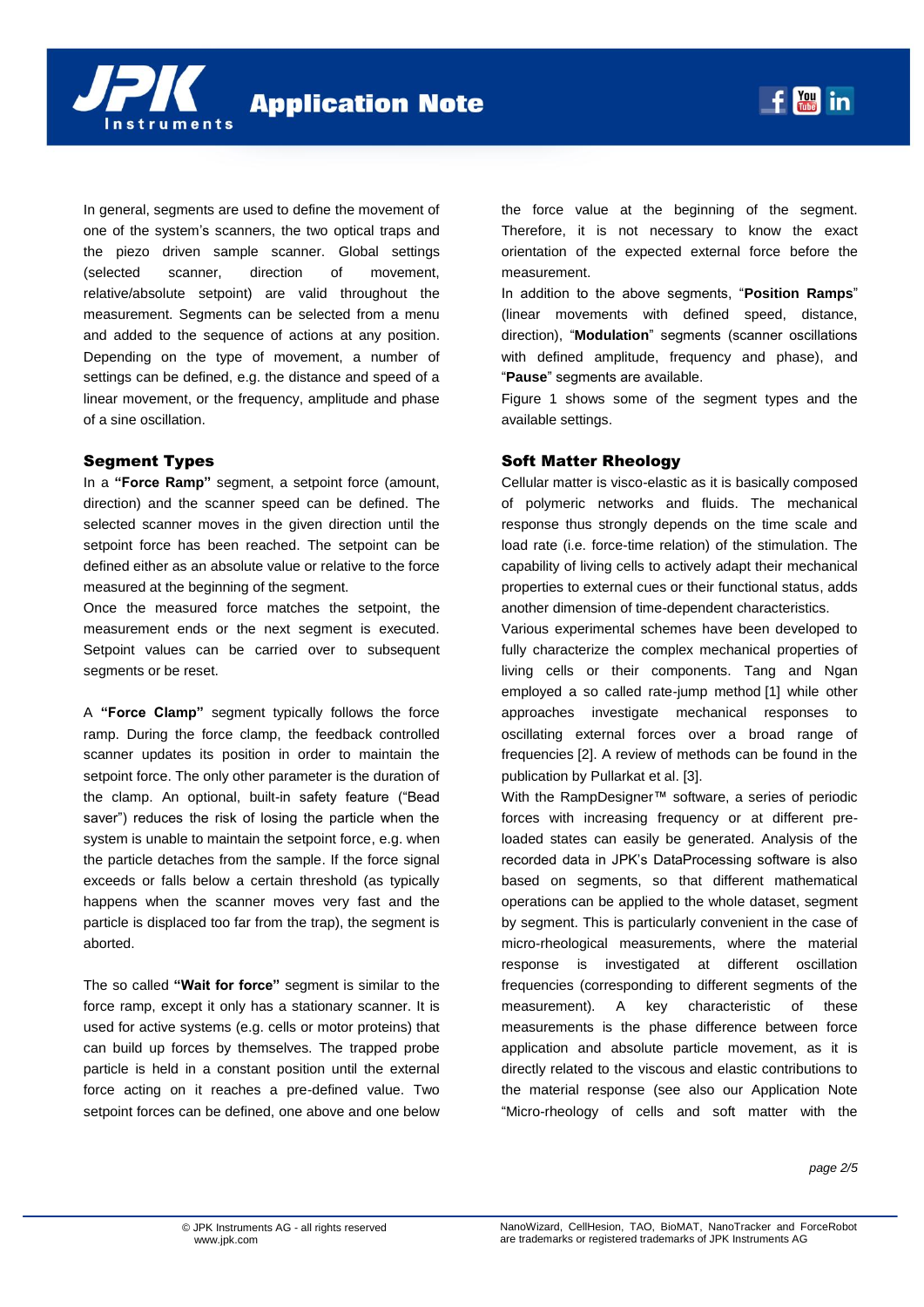



In general, segments are used to define the movement of one of the system's scanners, the two optical traps and the piezo driven sample scanner. Global settings (selected scanner, direction of movement, relative/absolute setpoint) are valid throughout the measurement. Segments can be selected from a menu and added to the sequence of actions at any position. Depending on the type of movement, a number of settings can be defined, e.g. the distance and speed of a linear movement, or the frequency, amplitude and phase of a sine oscillation.

### Segment Types

In a **"Force Ramp"** segment, a setpoint force (amount, direction) and the scanner speed can be defined. The selected scanner moves in the given direction until the setpoint force has been reached. The setpoint can be defined either as an absolute value or relative to the force measured at the beginning of the segment.

Once the measured force matches the setpoint, the measurement ends or the next segment is executed. Setpoint values can be carried over to subsequent segments or be reset.

A **"Force Clamp"** segment typically follows the force ramp. During the force clamp, the feedback controlled scanner updates its position in order to maintain the setpoint force. The only other parameter is the duration of the clamp. An optional, built-in safety feature ("Bead saver") reduces the risk of losing the particle when the system is unable to maintain the setpoint force, e.g. when the particle detaches from the sample. If the force signal exceeds or falls below a certain threshold (as typically happens when the scanner moves very fast and the particle is displaced too far from the trap), the segment is aborted.

The so called **"Wait for force"** segment is similar to the force ramp, except it only has a stationary scanner. It is used for active systems (e.g. cells or motor proteins) that can build up forces by themselves. The trapped probe particle is held in a constant position until the external force acting on it reaches a pre-defined value. Two setpoint forces can be defined, one above and one below the force value at the beginning of the segment. Therefore, it is not necessary to know the exact orientation of the expected external force before the measurement.

 $f$   $\frac{Y_{01}}{Y_{02}}$  in

In addition to the above segments, "**Position Ramps**" (linear movements with defined speed, distance, direction), "**Modulation**" segments (scanner oscillations with defined amplitude, frequency and phase), and "**Pause**" segments are available.

Figure 1 shows some of the segment types and the available settings.

### Soft Matter Rheology

Cellular matter is visco-elastic as it is basically composed of polymeric networks and fluids. The mechanical response thus strongly depends on the time scale and load rate (i.e. force-time relation) of the stimulation. The capability of living cells to actively adapt their mechanical properties to external cues or their functional status, adds another dimension of time-dependent characteristics.

Various experimental schemes have been developed to fully characterize the complex mechanical properties of living cells or their components. Tang and Ngan employed a so called rate-jump method [1] while other approaches investigate mechanical responses to oscillating external forces over a broad range of frequencies [2]. A review of methods can be found in the publication by Pullarkat et al. [3].

With the RampDesigner™ software, a series of periodic forces with increasing frequency or at different preloaded states can easily be generated. Analysis of the recorded data in JPK's DataProcessing software is also based on segments, so that different mathematical operations can be applied to the whole dataset, segment by segment. This is particularly convenient in the case of micro-rheological measurements, where the material response is investigated at different oscillation frequencies (corresponding to different segments of the measurement). A key characteristic of these measurements is the phase difference between force application and absolute particle movement, as it is directly related to the viscous and elastic contributions to the material response (see also our Application Note "Micro-rheology of cells and soft matter with the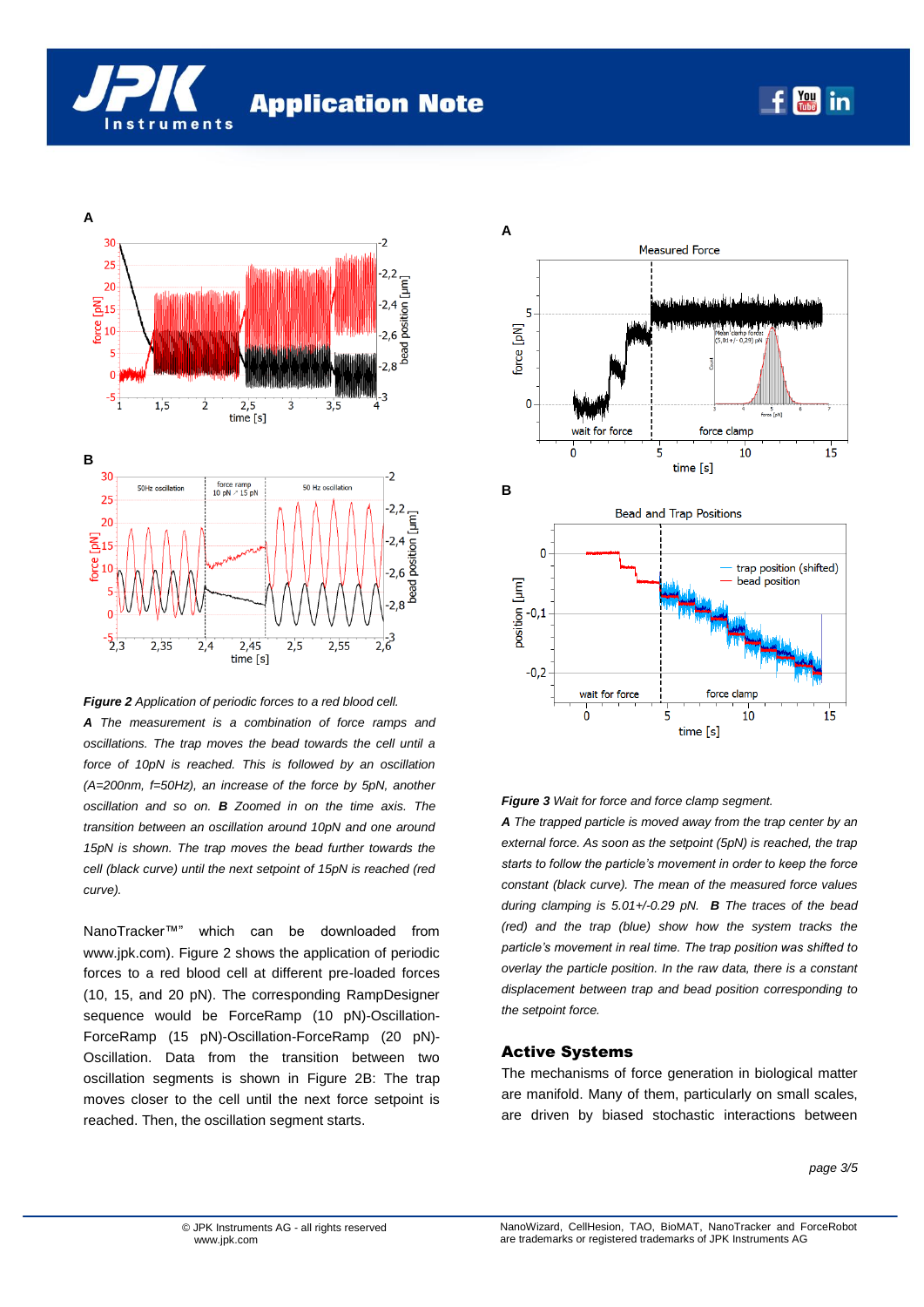





*A The measurement is a combination of force ramps and oscillations. The trap moves the bead towards the cell until a force of 10pN is reached. This is followed by an oscillation (A=200nm, f=50Hz), an increase of the force by 5pN, another oscillation and so on. B Zoomed in on the time axis. The transition between an oscillation around 10pN and one around 15pN is shown. The trap moves the bead further towards the cell (black curve) until the next setpoint of 15pN is reached (red curve).*

NanoTracker™" which can be downloaded from www.jpk.com). Figure 2 shows the application of periodic forces to a red blood cell at different pre-loaded forces (10, 15, and 20 pN). The corresponding RampDesigner sequence would be ForceRamp (10 pN)-Oscillation-ForceRamp (15 pN)-Oscillation-ForceRamp (20 pN)- Oscillation. Data from the transition between two oscillation segments is shown in Figure 2B: The trap moves closer to the cell until the next force setpoint is reached. Then, the oscillation segment starts.



#### *Figure 3 Wait for force and force clamp segment.*

*A The trapped particle is moved away from the trap center by an external force. As soon as the setpoint (5pN) is reached, the trap starts to follow the particle's movement in order to keep the force constant (black curve). The mean of the measured force values during clamping is 5.01+/-0.29 pN. B The traces of the bead (red) and the trap (blue) show how the system tracks the particle's movement in real time. The trap position was shifted to overlay the particle position. In the raw data, there is a constant displacement between trap and bead position corresponding to the setpoint force.*

#### Active Systems

The mechanisms of force generation in biological matter are manifold. Many of them, particularly on small scales, are driven by biased stochastic interactions between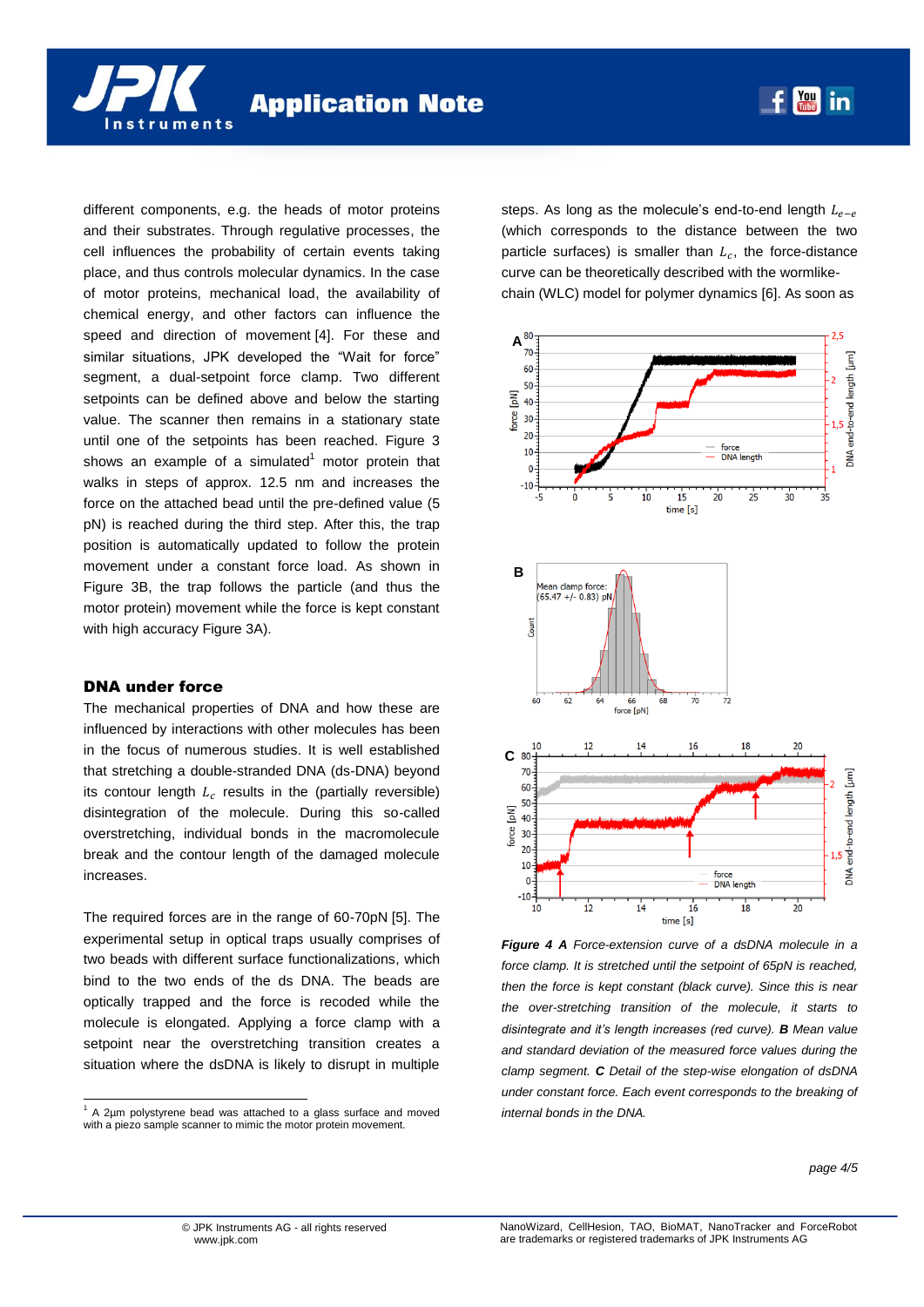different components, e.g. the heads of motor proteins and their substrates. Through regulative processes, the cell influences the probability of certain events taking place, and thus controls molecular dynamics. In the case of motor proteins, mechanical load, the availability of chemical energy, and other factors can influence the speed and direction of movement [4]. For these and similar situations, JPK developed the "Wait for force" segment, a dual-setpoint force clamp. Two different setpoints can be defined above and below the starting value. The scanner then remains in a stationary state until one of the setpoints has been reached. Figure 3 shows an example of a simulated $1$  motor protein that walks in steps of approx. 12.5 nm and increases the force on the attached bead until the pre-defined value (5 pN) is reached during the third step. After this, the trap position is automatically updated to follow the protein movement under a constant force load. As shown in Figure 3B, the trap follows the particle (and thus the motor protein) movement while the force is kept constant with high accuracy Figure 3A).

### DNA under force

l

The mechanical properties of DNA and how these are influenced by interactions with other molecules has been in the focus of numerous studies. It is well established that stretching a double-stranded DNA (ds-DNA) beyond its contour length  $L_c$  results in the (partially reversible) disintegration of the molecule. During this so-called overstretching, individual bonds in the macromolecule break and the contour length of the damaged molecule increases.

The required forces are in the range of 60-70pN [5]. The experimental setup in optical traps usually comprises of two beads with different surface functionalizations, which bind to the two ends of the ds DNA. The beads are optically trapped and the force is recoded while the molecule is elongated. Applying a force clamp with a setpoint near the overstretching transition creates a situation where the dsDNA is likely to disrupt in multiple steps. As long as the molecule's end-to-end length  $L_{e-e}$ (which corresponds to the distance between the two particle surfaces) is smaller than  $L_c$ , the force-distance curve can be theoretically described with the wormlikechain (WLC) model for polymer dynamics [6]. As soon as

 $f$   $\frac{Y_{01}}{Y_{02}}$  in



*Figure 4 A Force-extension curve of a dsDNA molecule in a force clamp. It is stretched until the setpoint of 65pN is reached, then the force is kept constant (black curve). Since this is near the over-stretching transition of the molecule, it starts to disintegrate and it's length increases (red curve). B Mean value and standard deviation of the measured force values during the clamp segment. C Detail of the step-wise elongation of dsDNA under constant force. Each event corresponds to the breaking of internal bonds in the DNA.*

 $1$  A 2 $\mu$ m polystyrene bead was attached to a glass surface and moved with a piezo sample scanner to mimic the motor protein movement.